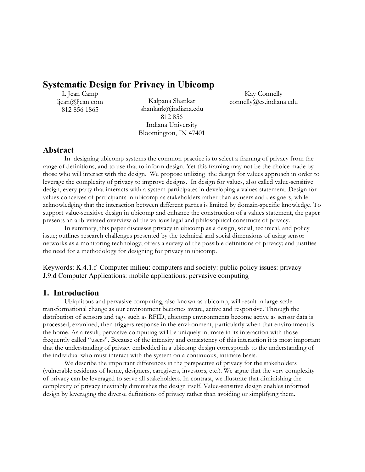# **Systematic Design for Privacy in Ubicomp**

L Jean Camp ljean@ljean.com 812 856 1865

Kalpana Shankar shankark@indiana.edu 812 856 Indiana University Bloomington, IN 47401

Kay Connelly connelly@cs.indiana.edu

# **Abstract**

In designing ubicomp systems the common practice is to select a framing of privacy from the range of definitions, and to use that to inform design. Yet this framing may not be the choice made by those who will interact with the design. We propose utilizing the design for values approach in order to leverage the complexity of privacy to improve designs. In design for values, also called value-sensitive design, every party that interacts with a system participates in developing a values statement. Design for values conceives of participants in ubicomp as stakeholders rather than as users and designers, while acknowledging that the interaction between different parties is limited by domain-specific knowledge. To support value-sensitive design in ubicomp and enhance the construction of a values statement, the paper presents an abbreviated overview of the various legal and philosophical constructs of privacy.

In summary, this paper discusses privacy in ubicomp as a design, social, technical, and policy issue; outlines research challenges presented by the technical and social dimensions of using sensor networks as a monitoring technology; offers a survey of the possible definitions of privacy; and justifies the need for a methodology for designing for privacy in ubicomp.

Keywords: K.4.1.f Computer milieu: computers and society: public policy issues: privacy J.9.d Computer Applications: mobile applications: pervasive computing

# **1. Introduction**

Ubiquitous and pervasive computing, also known as ubicomp, will result in large-scale transformational change as our environment becomes aware, active and responsive. Through the distribution of sensors and tags such as RFID, ubicomp environments become active as sensor data is processed, examined, then triggers response in the environment, particularly when that environment is the home. As a result, pervasive computing will be uniquely intimate in its interaction with those frequently called "users". Because of the intensity and consistency of this interaction it is most important that the understanding of privacy embedded in a ubicomp design corresponds to the understanding of the individual who must interact with the system on a continuous, intimate basis.

We describe the important differences in the perspective of privacy for the stakeholders (vulnerable residents of home, designers, caregivers, investors, etc.). We argue that the very complexity of privacy can be leveraged to serve all stakeholders. In contrast, we illustrate that diminishing the complexity of privacy inevitably diminishes the design itself. Value-sensitive design enables informed design by leveraging the diverse definitions of privacy rather than avoiding or simplifying them.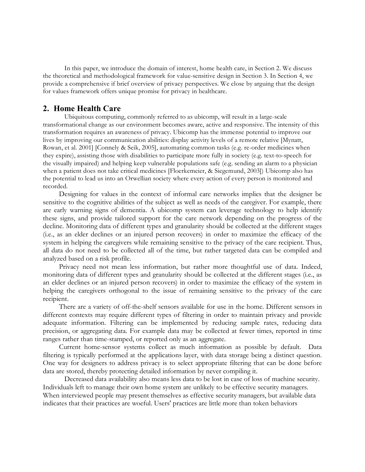In this paper, we introduce the domain of interest, home health care, in Section 2. We discuss the theoretical and methodological framework for value-sensitive design in Section 3. In Section 4, we provide a comprehensive if brief overview of privacy perspectives. We close by arguing that the design for values framework offers unique promise for privacy in healthcare.

## **2. Home Health Care**

Ubiquitous computing, commonly referred to as ubicomp, will result in a large-scale transformational change as our environment becomes aware, active and responsive. The intensity of this transformation requires an awareness of privacy. Ubicomp has the immense potential to improve our lives by improving our communication abilities: display activity levels of a remote relative [Mynatt, Rowan, et al. 2001] [Connely & Seik, 2005], automating common tasks (e.g. re-order medicines when they expire), assisting those with disabilities to participate more fully in society (e.g. text-to-speech for the visually impaired) and helping keep vulnerable populations safe (e.g. sending an alarm to a physician when a patient does not take critical medicines [Floerkemeier, & Siegemund, 2003]) Ubicomp also has the potential to lead us into an Orwellian society where every action of every person is monitored and recorded.

Designing for values in the context of informal care networks implies that the designer be sensitive to the cognitive abilities of the subject as well as needs of the caregiver. For example, there are early warning signs of dementia. A ubicomp system can leverage technology to help identify these signs, and provide tailored support for the care network depending on the progress of the decline. Monitoring data of different types and granularity should be collected at the different stages (i.e., as an elder declines or an injured person recovers) in order to maximize the efficacy of the system in helping the caregivers while remaining sensitive to the privacy of the care recipient. Thus, all data do not need to be collected all of the time, but rather targeted data can be compiled and analyzed based on a risk profile.

Privacy need not mean less information, but rather more thoughtful use of data. Indeed, monitoring data of different types and granularity should be collected at the different stages (i.e., as an elder declines or an injured person recovers) in order to maximize the efficacy of the system in helping the caregivers orthogonal to the issue of remaining sensitive to the privacy of the care recipient.

There are a variety of off-the-shelf sensors available for use in the home. Different sensors in different contexts may require different types of filtering in order to maintain privacy and provide adequate information. Filtering can be implemented by reducing sample rates, reducing data precision, or aggregating data. For example data may be collected at fewer times, reported in time ranges rather than time-stamped, or reported only as an aggregate.

Current home-sensor systems collect as much information as possible by default. Data filtering is typically performed at the applications layer, with data storage being a distinct question. One way for designers to address privacy is to select appropriate filtering that can be done before data are stored, thereby protecting detailed information by never compiling it.

Decreased data availability also means less data to be lost in case of loss of machine security. Individuals left to manage their own home system are unlikely to be effective security managers. When interviewed people may present themselves as effective security managers, but available data indicates that their practices are woeful. Users' practices are little more than token behaviors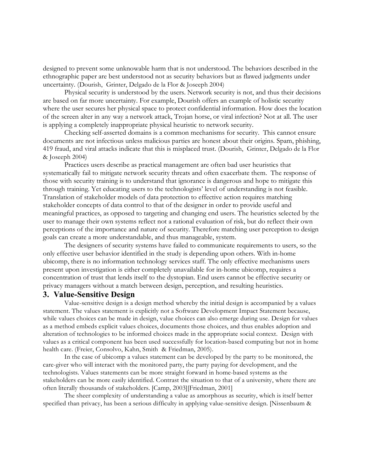designed to prevent some unknowable harm that is not understood. The behaviors described in the ethnographic paper are best understood not as security behaviors but as flawed judgments under uncertainty. (Dourish, Grinter, Delgado de la Flor & Joseeph 2004)

Physical security is understood by the users. Network security is not, and thus their decisions are based on far more uncertainty. For example, Dourish offers an example of holistic security where the user secures her physical space to protect confidential information. How does the location of the screen alter in any way a network attack, Trojan horse, or viral infection? Not at all. The user is applying a completely inappropriate physical heuristic to network security.

Checking self-asserted domains is a common mechanisms for security. This cannot ensure documents are not infectious unless malicious parties are honest about their origins. Spam, phishing, 419 fraud, and viral attacks indicate that this is misplaced trust. (Dourish, Grinter, Delgado de la Flor & Joseeph 2004)

Practices users describe as practical management are often bad user heuristics that systematically fail to mitigate network security threats and often exacerbate them. The response of those with security training is to understand that ignorance is dangerous and hope to mitigate this through training. Yet educating users to the technologists' level of understanding is not feasible. Translation of stakeholder models of data protection to effective action requires matching stakeholder concepts of data control to that of the designer in order to provide useful and meaningful practices, as opposed to targeting and changing end users. The heuristics selected by the user to manage their own systems reflect not a rational evaluation of risk, but do reflect their own perceptions of the importance and nature of security. Therefore matching user perception to design goals can create a more understandable, and thus manageable, system.

The designers of security systems have failed to communicate requirements to users, so the only effective user behavior identified in the study is depending upon others. With in-home ubicomp, there is no information technology services staff. The only effective mechanisms users present upon investigation is either completely unavailable for in-home ubicomp, requires a concentration of trust that lends itself to the dystopian. End users cannot be effective security or privacy managers without a match between design, perception, and resulting heuristics.

# **3. Value-Sensitive Design**

Value-sensitive design is a design method whereby the initial design is accompanied by a values statement. The values statement is explicitly not a Software Development Impact Statement because, while values choices can be made in design, value choices can also emerge during use. Design for values as a method embeds explicit values choices, documents those choices, and thus enables adoption and alteration of technologies to be informed choices made in the appropriate social context. Design with values as a critical component has been used successfully for location-based computing but not in home health care. (Freier, Consolvo, Kahn, Smith & Friedman, 2005).

In the case of ubicomp a values statement can be developed by the party to be monitored, the care-giver who will interact with the monitored party, the party paying for development, and the technologists. Values statements can be more straight forward in home-based systems as the stakeholders can be more easily identified. Contrast the situation to that of a university, where there are often literally thousands of stakeholders. [Camp, 2003][Friedman, 2001]

The sheer complexity of understanding a value as amorphous as security, which is itself better specified than privacy, has been a serious difficulty in applying value-sensitive design. [Nissenbaum &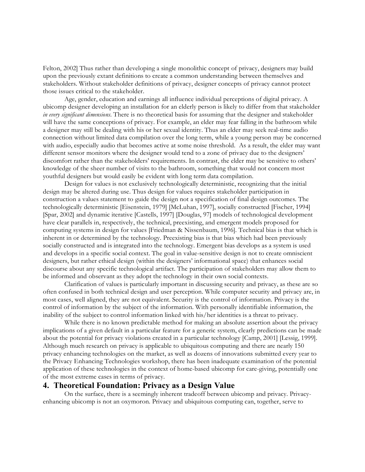Felton, 2002] Thus rather than developing a single monolithic concept of privacy, designers may build upon the previously extant definitions to create a common understanding between themselves and stakeholders. Without stakeholder definitions of privacy, designer concepts of privacy cannot protect those issues critical to the stakeholder.

Age, gender, education and earnings all influence individual perceptions of digital privacy. A ubicomp designer developing an installation for an elderly person is likely to differ from that stakeholder *in every significant dimensions*. There is no theoretical basis for assuming that the designer and stakeholder will have the same conceptions of privacy. For example, an elder may fear falling in the bathroom while a designer may still be dealing with his or her sexual identity. Thus an elder may seek real-time audio connection without limited data compilation over the long term, while a young person may be concerned with audio, especially audio that becomes active at some noise threshold. As a result, the elder may want different sensor monitors where the designer would tend to a zone of privacy due to the designers' discomfort rather than the stakeholders' requirements. In contrast, the elder may be sensitive to others' knowledge of the sheer number of visits to the bathroom, something that would not concern most youthful designers but would easily be evident with long term data compilation.

Design for values is not exclusively technologically deterministic, recognizing that the initial design may be altered during use. Thus design for values requires stakeholder participation in construction a values statement to guide the design not a specification of final design outcomes. The technologically deterministic [Eisenstein, 1979] [McLuhan, 1997], socially constructed [Fischer, 1994] [Spar, 2002] and dynamic iterative [Castells, 1997] [Douglas, 97] models of technological development have clear parallels in, respectively, the technical, preexisting, and emergent models proposed for computing systems in design for values [Friedman & Nissenbaum, 1996]. Technical bias is that which is inherent in or determined by the technology. Preexisting bias is that bias which had been previously socially constructed and is integrated into the technology. Emergent bias develops as a system is used and develops in a specific social context. The goal in value-sensitive design is not to create omniscient designers, but rather ethical design (within the designers' informational space) that enhances social discourse about any specific technological artifact. The participation of stakeholders may allow them to be informed and observant as they adopt the technology in their own social contexts.

Clarification of values is particularly important in discussing security and privacy, as these are so often confused in both technical design and user perception. While computer security and privacy are, in most cases, well aligned, they are not equivalent. Security is the control of information. Privacy is the control of information by the subject of the information. With personally identifiable information, the inability of the subject to control information linked with his/her identities is a threat to privacy.

While there is no known predictable method for making an absolute assertion about the privacy implications of a given default in a particular feature for a generic system, clearly predictions can be made about the potential for privacy violations created in a particular technology [Camp, 2001] [Lessig, 1999]. Although much research on privacy is applicable to ubiquitous computing and there are nearly 150 privacy enhancing technologies on the market, as well as dozens of innovations submitted every year to the Privacy Enhancing Technologies workshop, there has been inadequate examination of the potential application of these technologies in the context of home-based ubicomp for care-giving, potentially one of the most extreme cases in terms of privacy.

### **4. Theoretical Foundation: Privacy as a Design Value**

On the surface, there is a seemingly inherent tradeoff between ubicomp and privacy. Privacyenhancing ubicomp is not an oxymoron. Privacy and ubiquitous computing can, together, serve to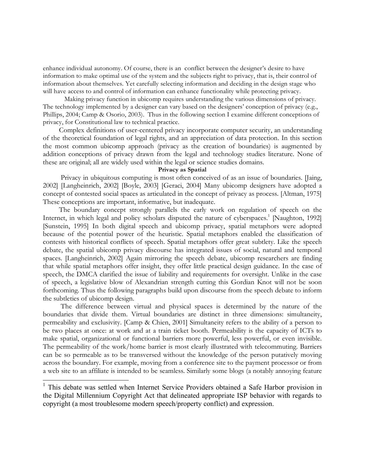enhance individual autonomy. Of course, there is an conflict between the designer's desire to have information to make optimal use of the system and the subjects right to privacy, that is, their control of information about themselves. Yet carefully selecting information and deciding in the design stage who will have access to and control of information can enhance functionality while protecting privacy.

Making privacy function in ubicomp requires understanding the various dimensions of privacy. The technology implemented by a designer can vary based on the designers' conception of privacy (e.g., Phillips, 2004; Camp & Osorio, 2003). Thus in the following section I examine different conceptions of privacy, for Constitutional law to technical practice.

Complex definitions of user-centered privacy incorporate computer security, an understanding of the theoretical foundation of legal rights, and an appreciation of data protection. In this section the most common ubicomp approach (privacy as the creation of boundaries) is augmented by addition conceptions of privacy drawn from the legal and technology studies literature. None of these are original; all are widely used within the legal or science studies domains.

#### **Privacy as Spatial**

Privacy in ubiquitous computing is most often conceived of as an issue of boundaries. [Jaing, 2002] [Langheinrich, 2002] [Boyle, 2003] [Geraci, 2004] Many ubicomp designers have adopted a concept of contested social spaces as articulated in the concept of privacy as process. [Altman, 1975] These conceptions are important, informative, but inadequate.

The boundary concept strongly parallels the early work on regulation of speech on the Internet, in which legal and policy scholars disputed the nature of cyberspaces.<sup>1</sup> [Naughton, 1992] [Sunstein, 1995] In both digital speech and ubicomp privacy, spatial metaphors were adopted because of the potential power of the heuristic. Spatial metaphors enabled the classification of contests with historical conflicts of speech. Spatial metaphors offer great subtlety. Like the speech debate, the spatial ubicomp privacy discourse has integrated issues of social, natural and temporal spaces. [Langheinrich, 2002] Again mirroring the speech debate, ubicomp researchers are finding that while spatial metaphors offer insight, they offer little practical design guidance. In the case of speech, the DMCA clarified the issue of liability and requirements for oversight. Unlike in the case of speech, a legislative blow of Alexandrian strength cutting this Gordian Knot will not be soon forthcoming. Thus the following paragraphs build upon discourse from the speech debate to inform the subtleties of ubicomp design.

The difference between virtual and physical spaces is determined by the nature of the boundaries that divide them. Virtual boundaries are distinct in three dimensions: simultaneity, permeability and exclusivity. [Camp & Chien, 2001] Simultaneity refers to the ability of a person to be two places at once: at work and at a train ticket booth. Permeability is the capacity of ICTs to make spatial, organizational or functional barriers more powerful, less powerful, or even invisible. The permeability of the work/home barrier is most clearly illustrated with telecommuting. Barriers can be so permeable as to be transversed without the knowledge of the person putatively moving across the boundary. For example, moving from a conference site to the payment processor or from a web site to an affiliate is intended to be seamless. Similarly some blogs (a notably annoying feature

<sup>&</sup>lt;sup>1</sup> This debate was settled when Internet Service Providers obtained a Safe Harbor provision in the Digital Millennium Copyright Act that delineated appropriate ISP behavior with regards to copyright (a most troublesome modern speech/property conflict) and expression.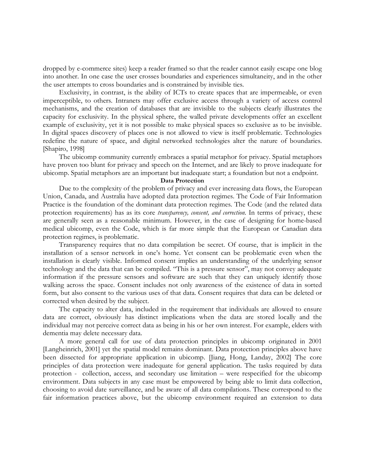dropped by e-commerce sites) keep a reader framed so that the reader cannot easily escape one blog into another. In one case the user crosses boundaries and experiences simultaneity, and in the other the user attempts to cross boundaries and is constrained by invisible ties.

Exclusivity, in contrast, is the ability of ICTs to create spaces that are impermeable, or even imperceptible, to others. Intranets may offer exclusive access through a variety of access control mechanisms, and the creation of databases that are invisible to the subjects clearly illustrates the capacity for exclusivity. In the physical sphere, the walled private developments offer an excellent example of exclusivity, yet it is not possible to make physical spaces so exclusive as to be invisible. In digital spaces discovery of places one is not allowed to view is itself problematic. Technologies redefine the nature of space, and digital networked technologies alter the nature of boundaries. [Shapiro, 1998]

The ubicomp community currently embraces a spatial metaphor for privacy. Spatial metaphors have proven too blunt for privacy and speech on the Internet, and are likely to prove inadequate for ubicomp. Spatial metaphors are an important but inadequate start; a foundation but not a endpoint.

#### **Data Protection**

Due to the complexity of the problem of privacy and ever increasing data flows, the European Union, Canada, and Australia have adopted data protection regimes. The Code of Fair Information Practice is the foundation of the dominant data protection regimes. The Code (and the related data protection requirements) has as its core *transparency, consent, and correction*. In terms of privacy, these are generally seen as a reasonable minimum. However, in the case of designing for home-based medical ubicomp, even the Code, which is far more simple that the European or Canadian data protection regimes, is problematic.

Transparency requires that no data compilation be secret. Of course, that is implicit in the installation of a sensor network in one's home. Yet consent can be problematic even when the installation is clearly visible. Informed consent implies an understanding of the underlying sensor technology and the data that can be compiled. "This is a pressure sensor", may not convey adequate information if the pressure sensors and software are such that they can uniquely identify those walking across the space. Consent includes not only awareness of the existence of data in sorted form, but also consent to the various uses of that data. Consent requires that data can be deleted or corrected when desired by the subject.

The capacity to alter data, included in the requirement that individuals are allowed to ensure data are correct, obviously has distinct implications when the data are stored locally and the individual may not perceive correct data as being in his or her own interest. For example, elders with dementia may delete necessary data.

A more general call for use of data protection principles in ubicomp originated in 2001 [Langheinrich, 2001] yet the spatial model remains dominant. Data protection principles above have been dissected for appropriate application in ubicomp. [Jiang, Hong, Landay, 2002] The core principles of data protection were inadequate for general application. The tasks required by data protection - collection, access, and secondary use limitation – were respecified for the ubicomp environment. Data subjects in any case must be empowered by being able to limit data collection, choosing to avoid date surveillance, and be aware of all data compilations. These correspond to the fair information practices above, but the ubicomp environment required an extension to data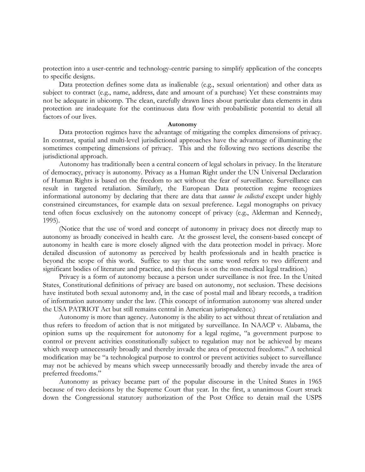protection into a user-centric and technology-centric parsing to simplify application of the concepts to specific designs.

Data protection defines some data as inalienable (e.g., sexual orientation) and other data as subject to contract (e.g., name, address, date and amount of a purchase) Yet these constraints may not be adequate in ubicomp. The clean, carefully drawn lines about particular data elements in data protection are inadequate for the continuous data flow with probabilistic potential to detail all factors of our lives.

#### **Autonomy**

Data protection regimes have the advantage of mitigating the complex dimensions of privacy. In contrast, spatial and multi-level jurisdictional approaches have the advantage of illuminating the sometimes competing dimensions of privacy. This and the following two sections describe the jurisdictional approach.

Autonomy has traditionally been a central concern of legal scholars in privacy. In the literature of democracy, privacy is autonomy. Privacy as a Human Right under the UN Universal Declaration of Human Rights is based on the freedom to act without the fear of surveillance. Surveillance can result in targeted retaliation. Similarly, the European Data protection regime recognizes informational autonomy by declaring that there are data that *cannot be collected* except under highly constrained circumstances, for example data on sexual preference. Legal monographs on privacy tend often focus exclusively on the autonomy concept of privacy (e.g., Alderman and Kennedy, 1995).

(Notice that the use of word and concept of autonomy in privacy does not directly map to autonomy as broadly conceived in health care. At the grossest level, the consent-based concept of autonomy in health care is more closely aligned with the data protection model in privacy. More detailed discussion of autonomy as perceived by health professionals and in health practice is beyond the scope of this work. Suffice to say that the same word refers to two different and significant bodies of literature and practice, and this focus is on the non-medical legal tradition.)

Privacy is a form of autonomy because a person under surveillance is not free. In the United States, Constitutional definitions of privacy are based on autonomy, not seclusion. These decisions have instituted both sexual autonomy and, in the case of postal mail and library records, a tradition of information autonomy under the law. (This concept of information autonomy was altered under the USA PATRIOT Act but still remains central in American jurisprudence.)

Autonomy is more than agency. Autonomy is the ability to act without threat of retaliation and thus refers to freedom of action that is not mitigated by surveillance. In NAACP v. Alabama, the opinion sums up the requirement for autonomy for a legal regime, "a government purpose to control or prevent activities constitutionally subject to regulation may not be achieved by means which sweep unnecessarily broadly and thereby invade the area of protected freedoms." A technical modification may be "a technological purpose to control or prevent activities subject to surveillance may not be achieved by means which sweep unnecessarily broadly and thereby invade the area of preferred freedoms."

Autonomy as privacy became part of the popular discourse in the United States in 1965 because of two decisions by the Supreme Court that year. In the first, a unanimous Court struck down the Congressional statutory authorization of the Post Office to detain mail the USPS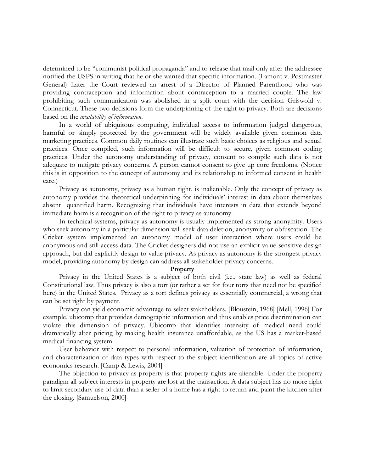determined to be "communist political propaganda" and to release that mail only after the addressee notified the USPS in writing that he or she wanted that specific information. (Lamont v. Postmaster General) Later the Court reviewed an arrest of a Director of Planned Parenthood who was providing contraception and information about contraception to a married couple. The law prohibiting such communication was abolished in a split court with the decision Griswold v. Connecticut. These two decisions form the underpinning of the right to privacy. Both are decisions based on the *availability of information*.

In a world of ubiquitous computing, individual access to information judged dangerous, harmful or simply protected by the government will be widely available given common data marketing practices. Common daily routines can illustrate such basic choices as religious and sexual practices. Once compiled, such information will be difficult to secure, given common coding practices. Under the autonomy understanding of privacy, consent to compile such data is not adequate to mitigate privacy concerns. A person cannot consent to give up core freedoms. (Notice this is in opposition to the concept of autonomy and its relationship to informed consent in health care.)

Privacy as autonomy, privacy as a human right, is inalienable. Only the concept of privacy as autonomy provides the theoretical underpinning for individuals' interest in data about themselves absent quantified harm. Recognizing that individuals have interests in data that extends beyond immediate harm is a recognition of the right to privacy as autonomy.

In technical systems, privacy as autonomy is usually implemented as strong anonymity. Users who seek autonomy in a particular dimension will seek data deletion, anonymity or obfuscation. The Cricket system implemented an autonomy model of user interaction where users could be anonymous and still access data. The Cricket designers did not use an explicit value-sensitive design approach, but did explicitly design to value privacy. As privacy as autonomy is the strongest privacy model, providing autonomy by design can address all stakeholder privacy concerns.

#### **Property**

Privacy in the United States is a subject of both civil (i.e., state law) as well as federal Constitutional law. Thus privacy is also a tort (or rather a set for four torts that need not be specified here) in the United States. Privacy as a tort defines privacy as essentially commercial, a wrong that can be set right by payment.

Privacy can yield economic advantage to select stakeholders. [Bloustein, 1968] [Mell, 1996] For example, ubicomp that provides demographic information and thus enables price discrimination can violate this dimension of privacy. Ubicomp that identifies intensity of medical need could dramatically alter pricing by making health insurance unaffordable, as the US has a market-based medical financing system.

User behavior with respect to personal information, valuation of protection of information, and characterization of data types with respect to the subject identification are all topics of active economics research. [Camp & Lewis, 2004]

The objection to privacy as property is that property rights are alienable. Under the property paradigm all subject interests in property are lost at the transaction. A data subject has no more right to limit secondary use of data than a seller of a home has a right to return and paint the kitchen after the closing. [Samuelson, 2000]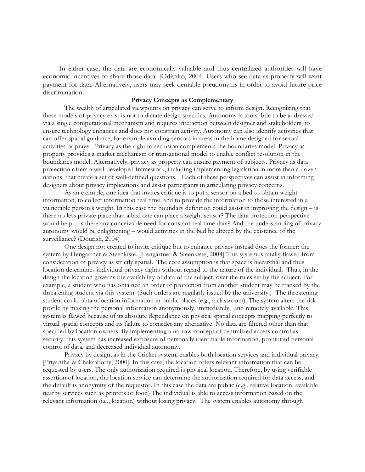In either case, the data are economically valuable and thus centralized authorities will have economic incentives to share those data. [Odlyzko, 2004] Users who see data as property will want payment for data. Alternatively, users may seek deniable pseudonyms in order to avoid future price discrimination.

### **Privacy Concepts as Complementary**

The wealth of articulated viewpoints on privacy can serve to inform design. Recognizing that these models of privacy exist is not to dictate design specifics. Autonomy is too subtle to be addressed via a single computational mechanism and requires interaction between designer and stakeholders, to ensure technology enhances and does not constrain activity. Autonomy can also identify activities that can offer spatial guidance, for example avoiding sensors in areas in the home designed for sexual activities or prayer. Privacy as the right to seclusion complements the boundaries model. Privacy as property provides a market mechanism or transactional model to enable conflict resolution in the boundaries model. Alternatively, privacy as property can ensure payment of subjects. Privacy as data protection offers a well-developed framework, including implementing legislation in more than a dozen nations, that create a set of well-defined questions. Each of these perspectives can assist in informing designers about privacy implications and assist participants in articulating privacy concerns.

As an example, one idea that invites critique is to put a sensor on a bed to obtain weight information, to collect information real time, and to provide the information to those interested in a vulnerable person's weight. In this case the boundary definition could assist in improving the design – is there no less private place than a bed one can place a weight sensor? The data protection perspective would help – is there any conceivable need for constant real time data? And the understanding of privacy autonomy would be enlightening – would activities in the bed be altered by the existence of the surveillance? (Dourish, 2004)

One design not created to invite critique but to enhance privacy instead does the former: the system by Hengartner & Steenkiste. [Hengartner & Steenkiste, 2004] This system is fatally flawed from consideration of privacy as strictly spatial. The core assumption is that space is hierarchal and thus location determines individual privacy rights without regard to the nature of the individual. Thus, in the design the location governs the availability of data of the subject, over the rules set by the subject. For example, a student who has obtained an order of protection from another student may be tracked by the threatening student via this system. (Such orders are regularly issued by the university.) The threatening student could obtain location information in public places (e.g., a classroom). The system alters the risk profile by making the personal information anonymously, immediately, and remotely available. This system is flawed because of its absolute dependance on physical spatial concepts mapping perfectly to virtual spatial concepts and its failure to consider any alternative. No data are filtered other than that specified by location owners. By implementing a narrow concept of centralized access control as security, this system has increased exposure of personally identifiable information, prohibited personal control of data, and decreased individual autonomy.

Privacy by design, as in the Cricket system, enables both location services and individual privacy [Priyantha & Chakraborty, 2000]. In this case, the location offers relevant information that can be requested by users. The only authorization required is physical location. Therefore, by using verifiable assertion of location, the location service can determine the authorization required for data access, and the default is anonymity of the requestor. In this case the data are public (e.g., relative location, available nearby services such as printers or food) The individual is able to access information based on the relevant information (i.e., location) without losing privacy. The system enables autonomy through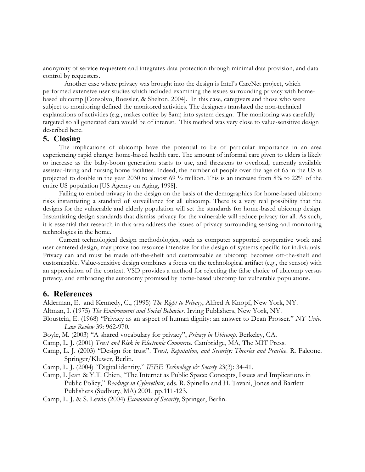anonymity of service requesters and integrates data protection through minimal data provision, and data control by requesters.

Another case where privacy was brought into the design is Intel's CareNet project, which performed extensive user studies which included examining the issues surrounding privacy with homebased ubicomp [Consolvo, Roessler, & Shelton, 2004]. In this case, caregivers and those who were subject to monitoring defined the monitored activities. The designers translated the non-technical explanations of activities (e.g., makes coffee by 8am) into system design. The monitoring was carefully targeted so all generated data would be of interest. This method was very close to value-sensitive design described here.

### **5. Closing**

The implications of ubicomp have the potential to be of particular importance in an area experiencing rapid change: home-based health care. The amount of informal care given to elders is likely to increase as the baby-boom generation starts to use, and threatens to overload, currently available assisted-living and nursing home facilities. Indeed, the number of people over the age of 65 in the US is projected to double in the year 2030 to almost 69 ½ million. This is an increase from 8% to 22% of the entire US population [US Agency on Aging, 1998].

Failing to embed privacy in the design on the basis of the demographics for home-based ubicomp risks instantiating a standard of surveillance for all ubicomp. There is a very real possibility that the designs for the vulnerable and elderly population will set the standards for home-based ubicomp design. Instantiating design standards that dismiss privacy for the vulnerable will reduce privacy for all. As such, it is essential that research in this area address the issues of privacy surrounding sensing and monitoring technologies in the home.

Current technological design methodologies, such as computer supported cooperative work and user centered design, may prove too resource intensive for the design of systems specific for individuals. Privacy can and must be made off-the-shelf and customizable as ubicomp becomes off-the-shelf and customizable. Value-sensitive design combines a focus on the technological artifact (e.g., the sensor) with an appreciation of the context. VSD provides a method for rejecting the false choice of ubicomp versus privacy, and embracing the autonomy promised by home-based ubicomp for vulnerable populations.

### **6. References**

Alderman, E. and Kennedy, C., (1995) *The Right to Privacy*, Alfred A Knopf, New York, NY.

Altman, I. (1975) *The Environment and Social Behavior*. Irving Publishers, New York, NY.

Bloustein, E. (1968) "Privacy as an aspect of human dignity: an answer to Dean Prosser." *NY Univ. Law Review* 39: 962-970.

Boyle, M. (2003) "A shared vocabulary for privacy", *Privacy in Ubicomp*. Berkeley, CA.

Camp, L. J. (2001) *Trust and Risk in Electronic Commerce*. Cambridge, MA, The MIT Press.

Camp, L. J. (2003) "Design for trust". T*rust, Reputation, and Security: Theories and Practice*. R. Falcone. Springer/Kluwer, Berlin.

Camp, L. J. (2004) "Digital identity." *IEEE Technology & Society* 23(3): 34-41.

Camp, L Jean & Y.T. Chien, "The Internet as Public Space: Concepts, Issues and Implications in Public Policy," *Readings in Cyberethics*, eds. R. Spinello and H. Tavani, Jones and Bartlett Publishers (Sudbury, MA) 2001. pp.111-123.

Camp, L. J. & S. Lewis (2004) *Economics of Security*, Springer, Berlin.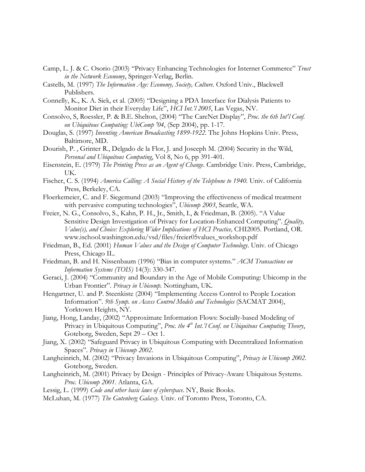- Camp, L. J. & C. Osorio (2003) "Privacy Enhancing Technologies for Internet Commerce" *Trust in the Network Economy*, Springer-Verlag, Berlin.
- Castells, M. (1997) *The Information Age: Economy, Society, Culture*. Oxford Univ., Blackwell Publishers.
- Connelly, K., K. A. Siek, et al. (2005) "Designing a PDA Interface for Dialysis Patients to Monitor Diet in their Everyday Life", *HCI Int.'l 2005*, Las Vegas, NV.
- Consolvo, S, Roessler, P. & B.E. Shelton, (2004) "The CareNet Display", *Proc. the 6th Int'l Conf. on Ubiquitous Computing: UbiComp '04*, (Sep 2004), pp. 1-17.
- Douglas, S. (1997) *Inventing American Broadcasting 1899-1922*. The Johns Hopkins Univ. Press, Baltimore, MD.
- Dourish, P. , Grinter R., Delgado de la Flor, J. and Joseeph M. (2004) Security in the Wild, *Personal and Ubiquitous Computing*, Vol 8, No 6, pp 391-401.
- Eisenstein, E. (1979) *The Printing Press as an Agent of Change*. Cambridge Univ. Press, Cambridge, UK.
- Fischer, C. S. (1994) *America Calling: A Social History of the Telephone to 1940*. Univ. of California Press, Berkeley, CA.
- Floerkemeier, C. and F. Siegemund (2003) "Improving the effectiveness of medical treatment with pervasive computing technologies", *Ubicomp 2003*, Seattle, WA.
- Freier, N. G., Consolvo, S., Kahn, P. H., Jr., Smith, I., & Friedman, B. (2005). "A Value Sensitive Design Investigation of Privacy for Location-Enhanced Computing". *Quality, Value(s), and Choice: Exploring Wider Implications of HCI Practice,* CHI2005. Portland, OR. www.ischool.washington.edu/vsd/files/freier05values\_workshop.pdf
- Friedman, B., Ed. (2001) *Human Values and the Design of Computer Technology*. Univ. of Chicago Press, Chicago IL.
- Friedman, B. and H. Nissenbaum (1996) "Bias in computer systems." *ACM Transactions on Information Systems (TOIS)* 14(3): 330-347.
- Geraci, J. (2004) "Community and Boundary in the Age of Mobile Computing: Ubicomp in the Urban Frontier". *Privacy in Ubicomp*. Nottingham, UK.
- Hengartner, U. and P. Steenkiste (2004) "Implementing Access Control to People Location Information". *9th Symp. on Access Control Models and Technologies* (SACMAT 2004), Yorktown Heights, NY.
- Jiang, Hong, Landay, (2002) "Approximate Information Flows: Socially-based Modeling of Privacy in Ubiquitous Computing", *Proc. the 4th Int.'l Conf. on Ubiquitous Computing Theory*, Goteborg, Sweden, Sept 29 – Oct 1.
- Jiang, X. (2002) "Safeguard Privacy in Ubiquitous Computing with Decentralized Information Spaces". *Privacy in Ubicomp 2002*.
- Langheinrich, M. (2002) "Privacy Invasions in Ubiquitous Computing", *Privacy in Ubicomp 2002*. Goteborg, Sweden.
- Langheinrich, M. (2001) Privacy by Design Principles of Privacy-Aware Ubiquitous Systems. *Proc. Ubicomp 2001*. Atlanta, GA.
- Lessig, L. (1999) *Code and other basic laws of cyberspace*. NY, Basic Books.
- McLuhan, M. (1977) *The Gutenberg Galaxy.* Univ. of Toronto Press, Toronto, CA.